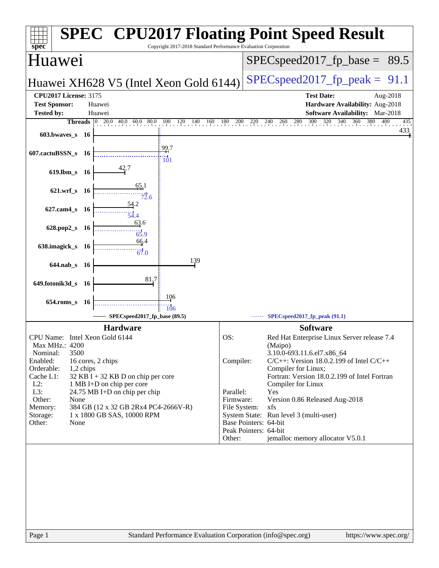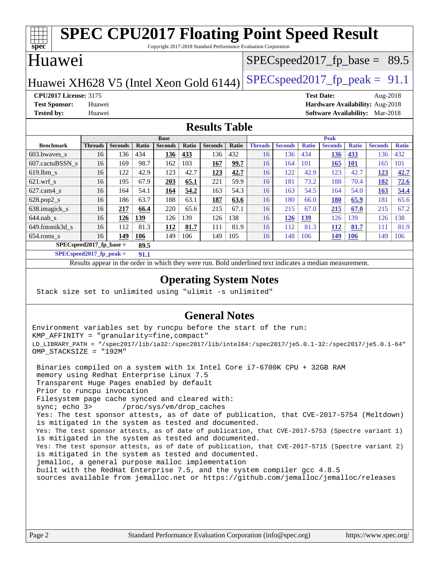### **[spec](http://www.spec.org/) [SPEC CPU2017 Floating Point Speed Result](http://www.spec.org/auto/cpu2017/Docs/result-fields.html#SPECCPU2017FloatingPointSpeedResult)** Copyright 2017-2018 Standard Performance Evaluation Corporation Huawei Huawei XH628 V5 (Intel Xeon Gold 6144) SPECspeed 2017 fp peak =  $91.1$  $SPECspeed2017_fp\_base = 89.5$ **[CPU2017 License:](http://www.spec.org/auto/cpu2017/Docs/result-fields.html#CPU2017License)** 3175 **[Test Date:](http://www.spec.org/auto/cpu2017/Docs/result-fields.html#TestDate)** Aug-2018 **[Test Sponsor:](http://www.spec.org/auto/cpu2017/Docs/result-fields.html#TestSponsor)** Huawei **[Hardware Availability:](http://www.spec.org/auto/cpu2017/Docs/result-fields.html#HardwareAvailability)** Aug-2018 **[Tested by:](http://www.spec.org/auto/cpu2017/Docs/result-fields.html#Testedby)** Huawei **[Software Availability:](http://www.spec.org/auto/cpu2017/Docs/result-fields.html#SoftwareAvailability)** Mar-2018 **[Results Table](http://www.spec.org/auto/cpu2017/Docs/result-fields.html#ResultsTable) [Benchmark](http://www.spec.org/auto/cpu2017/Docs/result-fields.html#Benchmark) [Threads](http://www.spec.org/auto/cpu2017/Docs/result-fields.html#Threads) [Seconds](http://www.spec.org/auto/cpu2017/Docs/result-fields.html#Seconds) [Ratio](http://www.spec.org/auto/cpu2017/Docs/result-fields.html#Ratio) [Seconds](http://www.spec.org/auto/cpu2017/Docs/result-fields.html#Seconds) [Ratio](http://www.spec.org/auto/cpu2017/Docs/result-fields.html#Ratio) [Seconds](http://www.spec.org/auto/cpu2017/Docs/result-fields.html#Seconds) [Ratio](http://www.spec.org/auto/cpu2017/Docs/result-fields.html#Ratio) Base [Threads](http://www.spec.org/auto/cpu2017/Docs/result-fields.html#Threads) [Seconds](http://www.spec.org/auto/cpu2017/Docs/result-fields.html#Seconds) [Ratio](http://www.spec.org/auto/cpu2017/Docs/result-fields.html#Ratio) [Seconds](http://www.spec.org/auto/cpu2017/Docs/result-fields.html#Seconds) [Ratio](http://www.spec.org/auto/cpu2017/Docs/result-fields.html#Ratio) [Seconds](http://www.spec.org/auto/cpu2017/Docs/result-fields.html#Seconds) [Ratio](http://www.spec.org/auto/cpu2017/Docs/result-fields.html#Ratio) Peak** [603.bwaves\\_s](http://www.spec.org/auto/cpu2017/Docs/benchmarks/603.bwaves_s.html) 16 136 434 **[136](http://www.spec.org/auto/cpu2017/Docs/result-fields.html#Median) [433](http://www.spec.org/auto/cpu2017/Docs/result-fields.html#Median)** 136 432 16 136 434 **[136](http://www.spec.org/auto/cpu2017/Docs/result-fields.html#Median) [433](http://www.spec.org/auto/cpu2017/Docs/result-fields.html#Median)** 136 432 [607.cactuBSSN\\_s](http://www.spec.org/auto/cpu2017/Docs/benchmarks/607.cactuBSSN_s.html) 16 169 98.7 162 103 **[167](http://www.spec.org/auto/cpu2017/Docs/result-fields.html#Median) [99.7](http://www.spec.org/auto/cpu2017/Docs/result-fields.html#Median)** 16 164 101 **[165](http://www.spec.org/auto/cpu2017/Docs/result-fields.html#Median) [101](http://www.spec.org/auto/cpu2017/Docs/result-fields.html#Median)** 165 101 [619.lbm\\_s](http://www.spec.org/auto/cpu2017/Docs/benchmarks/619.lbm_s.html) 16 122 42.9 123 42.7 **[123](http://www.spec.org/auto/cpu2017/Docs/result-fields.html#Median) [42.7](http://www.spec.org/auto/cpu2017/Docs/result-fields.html#Median)** 16 122 42.9 123 42.7 **[123](http://www.spec.org/auto/cpu2017/Docs/result-fields.html#Median) [42.7](http://www.spec.org/auto/cpu2017/Docs/result-fields.html#Median)** [621.wrf\\_s](http://www.spec.org/auto/cpu2017/Docs/benchmarks/621.wrf_s.html) 16 195 67.9 **[203](http://www.spec.org/auto/cpu2017/Docs/result-fields.html#Median) [65.1](http://www.spec.org/auto/cpu2017/Docs/result-fields.html#Median)** 221 59.9 16 181 73.2 188 70.4 **[182](http://www.spec.org/auto/cpu2017/Docs/result-fields.html#Median) [72.6](http://www.spec.org/auto/cpu2017/Docs/result-fields.html#Median)** [627.cam4\\_s](http://www.spec.org/auto/cpu2017/Docs/benchmarks/627.cam4_s.html) 16 164 54.1 **[164](http://www.spec.org/auto/cpu2017/Docs/result-fields.html#Median) [54.2](http://www.spec.org/auto/cpu2017/Docs/result-fields.html#Median)** 163 54.3 16 163 54.5 164 54.0 **[163](http://www.spec.org/auto/cpu2017/Docs/result-fields.html#Median) [54.4](http://www.spec.org/auto/cpu2017/Docs/result-fields.html#Median)** [628.pop2\\_s](http://www.spec.org/auto/cpu2017/Docs/benchmarks/628.pop2_s.html) 16 186 63.7 188 63.1 **[187](http://www.spec.org/auto/cpu2017/Docs/result-fields.html#Median) [63.6](http://www.spec.org/auto/cpu2017/Docs/result-fields.html#Median)** 16 180 66.0 **[180](http://www.spec.org/auto/cpu2017/Docs/result-fields.html#Median) [65.9](http://www.spec.org/auto/cpu2017/Docs/result-fields.html#Median)** 181 65.6 [638.imagick\\_s](http://www.spec.org/auto/cpu2017/Docs/benchmarks/638.imagick_s.html) 16 **[217](http://www.spec.org/auto/cpu2017/Docs/result-fields.html#Median) [66.4](http://www.spec.org/auto/cpu2017/Docs/result-fields.html#Median)** 220 65.6 215 67.1 16 215 67.0 **[215](http://www.spec.org/auto/cpu2017/Docs/result-fields.html#Median) [67.0](http://www.spec.org/auto/cpu2017/Docs/result-fields.html#Median)** 215 67.2 [644.nab\\_s](http://www.spec.org/auto/cpu2017/Docs/benchmarks/644.nab_s.html) 16 **[126](http://www.spec.org/auto/cpu2017/Docs/result-fields.html#Median) [139](http://www.spec.org/auto/cpu2017/Docs/result-fields.html#Median)** 126 139 126 138 16 **[126](http://www.spec.org/auto/cpu2017/Docs/result-fields.html#Median) [139](http://www.spec.org/auto/cpu2017/Docs/result-fields.html#Median)** 126 139 126 138 [649.fotonik3d\\_s](http://www.spec.org/auto/cpu2017/Docs/benchmarks/649.fotonik3d_s.html) 16 112 81.3 **[112](http://www.spec.org/auto/cpu2017/Docs/result-fields.html#Median) [81.7](http://www.spec.org/auto/cpu2017/Docs/result-fields.html#Median)** 111 81.9 16 112 81.3 **[112](http://www.spec.org/auto/cpu2017/Docs/result-fields.html#Median) [81.7](http://www.spec.org/auto/cpu2017/Docs/result-fields.html#Median)** 111 81.9 [654.roms\\_s](http://www.spec.org/auto/cpu2017/Docs/benchmarks/654.roms_s.html) 16 **[149](http://www.spec.org/auto/cpu2017/Docs/result-fields.html#Median) [106](http://www.spec.org/auto/cpu2017/Docs/result-fields.html#Median)** 149 106 149 105 16 148 106 **[149](http://www.spec.org/auto/cpu2017/Docs/result-fields.html#Median) [106](http://www.spec.org/auto/cpu2017/Docs/result-fields.html#Median)** 149 106 **[SPECspeed2017\\_fp\\_base =](http://www.spec.org/auto/cpu2017/Docs/result-fields.html#SPECspeed2017fpbase) 89.5 [SPECspeed2017\\_fp\\_peak =](http://www.spec.org/auto/cpu2017/Docs/result-fields.html#SPECspeed2017fppeak) 91.1**

Results appear in the [order in which they were run.](http://www.spec.org/auto/cpu2017/Docs/result-fields.html#RunOrder) Bold underlined text [indicates a median measurement](http://www.spec.org/auto/cpu2017/Docs/result-fields.html#Median).

### **[Operating System Notes](http://www.spec.org/auto/cpu2017/Docs/result-fields.html#OperatingSystemNotes)**

Stack size set to unlimited using "ulimit -s unlimited"

### **[General Notes](http://www.spec.org/auto/cpu2017/Docs/result-fields.html#GeneralNotes)**

Environment variables set by runcpu before the start of the run: KMP\_AFFINITY = "granularity=fine,compact" LD\_LIBRARY\_PATH = "/spec2017/lib/ia32:/spec2017/lib/intel64:/spec2017/je5.0.1-32:/spec2017/je5.0.1-64" OMP\_STACKSIZE = "192M"

 Binaries compiled on a system with 1x Intel Core i7-6700K CPU + 32GB RAM memory using Redhat Enterprise Linux 7.5 Transparent Huge Pages enabled by default Prior to runcpu invocation Filesystem page cache synced and cleared with: sync; echo 3> /proc/sys/vm/drop\_caches Yes: The test sponsor attests, as of date of publication, that CVE-2017-5754 (Meltdown) is mitigated in the system as tested and documented. Yes: The test sponsor attests, as of date of publication, that CVE-2017-5753 (Spectre variant 1) is mitigated in the system as tested and documented. Yes: The test sponsor attests, as of date of publication, that CVE-2017-5715 (Spectre variant 2) is mitigated in the system as tested and documented. jemalloc, a general purpose malloc implementation built with the RedHat Enterprise 7.5, and the system compiler gcc 4.8.5 sources available from jemalloc.net or <https://github.com/jemalloc/jemalloc/releases>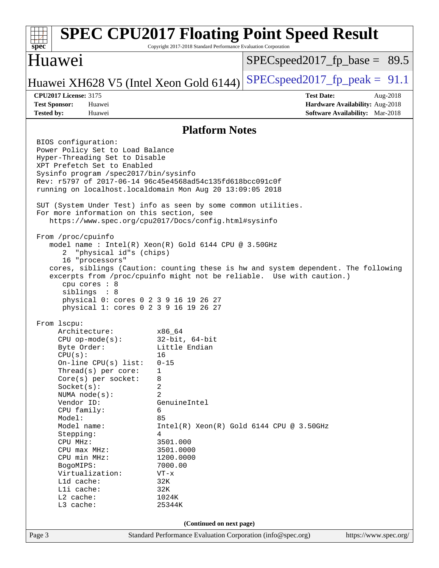| spec                                                                                                                                                                                                                                                                                                                                                                                            | Copyright 2017-2018 Standard Performance Evaluation Corporation                                                                                                                                                     | <b>SPEC CPU2017 Floating Point Speed Result</b>                                                                                                             |  |  |  |
|-------------------------------------------------------------------------------------------------------------------------------------------------------------------------------------------------------------------------------------------------------------------------------------------------------------------------------------------------------------------------------------------------|---------------------------------------------------------------------------------------------------------------------------------------------------------------------------------------------------------------------|-------------------------------------------------------------------------------------------------------------------------------------------------------------|--|--|--|
| Huawei                                                                                                                                                                                                                                                                                                                                                                                          |                                                                                                                                                                                                                     | $SPEC speed2017_f p\_base = 89.5$                                                                                                                           |  |  |  |
| Huawei XH628 V5 (Intel Xeon Gold 6144)                                                                                                                                                                                                                                                                                                                                                          |                                                                                                                                                                                                                     | $SPEC speed2017_fp\_peak = 91.1$                                                                                                                            |  |  |  |
| <b>CPU2017 License: 3175</b><br><b>Test Sponsor:</b><br>Huawei<br><b>Tested by:</b><br>Huawei                                                                                                                                                                                                                                                                                                   |                                                                                                                                                                                                                     | <b>Test Date:</b><br>Aug-2018<br>Hardware Availability: Aug-2018<br><b>Software Availability:</b> Mar-2018                                                  |  |  |  |
|                                                                                                                                                                                                                                                                                                                                                                                                 | <b>Platform Notes</b>                                                                                                                                                                                               |                                                                                                                                                             |  |  |  |
| BIOS configuration:<br>Power Policy Set to Load Balance<br>Hyper-Threading Set to Disable<br>XPT Prefetch Set to Enabled<br>Sysinfo program /spec2017/bin/sysinfo<br>Rev: r5797 of 2017-06-14 96c45e4568ad54c135fd618bcc091c0f<br>running on localhost.localdomain Mon Aug 20 13:09:05 2018<br>SUT (System Under Test) info as seen by some common utilities.                                   |                                                                                                                                                                                                                     |                                                                                                                                                             |  |  |  |
| For more information on this section, see<br>https://www.spec.org/cpu2017/Docs/config.html#sysinfo                                                                                                                                                                                                                                                                                              |                                                                                                                                                                                                                     |                                                                                                                                                             |  |  |  |
| From /proc/cpuinfo<br>model name : Intel(R) Xeon(R) Gold 6144 CPU @ 3.50GHz<br>"physical id"s (chips)<br>2.<br>16 "processors"<br>cpu cores : 8<br>siblings : 8<br>physical 0: cores 0 2 3 9 16 19 26 27<br>physical 1: cores 0 2 3 9 16 19 26 27                                                                                                                                               |                                                                                                                                                                                                                     | cores, siblings (Caution: counting these is hw and system dependent. The following<br>excerpts from /proc/cpuinfo might not be reliable. Use with caution.) |  |  |  |
| From 1scpu:<br>Architecture:<br>$CPU$ op-mode( $s$ ):<br>Byte Order:<br>CPU(s):<br>On-line CPU(s) list:<br>Thread( $s$ ) per core:<br>Core(s) per socket:<br>Socket(s):<br>NUMA $node(s):$<br>Vendor ID:<br>CPU family:<br>Model:<br>Model name:<br>Stepping:<br>CPU MHz:<br>CPU max MHz:<br>CPU min MHz:<br>BogoMIPS:<br>Virtualization:<br>Lld cache:<br>Lli cache:<br>L2 cache:<br>L3 cache: | x86_64<br>$32$ -bit, $64$ -bit<br>Little Endian<br>16<br>$0 - 15$<br>1<br>8<br>2<br>2<br>GenuineIntel<br>6<br>85<br>4<br>3501.000<br>3501.0000<br>1200.0000<br>7000.00<br>$VT - x$<br>32K<br>32K<br>1024K<br>25344K | $Intel(R) Xeon(R) Gold 6144 CPU @ 3.50GHz$                                                                                                                  |  |  |  |
| (Continued on next page)                                                                                                                                                                                                                                                                                                                                                                        |                                                                                                                                                                                                                     |                                                                                                                                                             |  |  |  |
| Page 3                                                                                                                                                                                                                                                                                                                                                                                          | Standard Performance Evaluation Corporation (info@spec.org)                                                                                                                                                         | https://www.spec.org/                                                                                                                                       |  |  |  |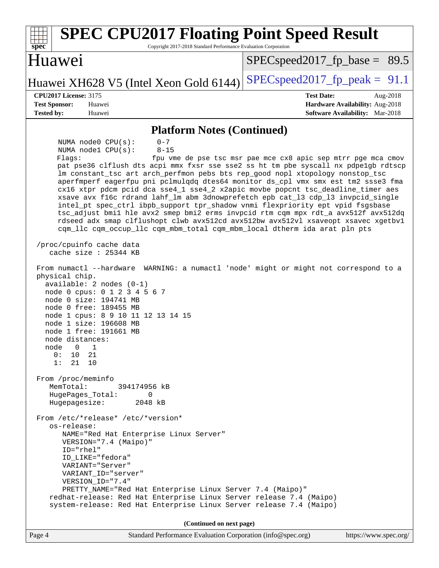| <b>SPEC CPU2017 Floating Point Speed Result</b><br>Copyright 2017-2018 Standard Performance Evaluation Corporation<br>$spec*$                                                                                                                                                                                                                                                                                                                                                                                                                                                                                                                                                                                                                                                                                                                                                                                         |                                                                                                            |
|-----------------------------------------------------------------------------------------------------------------------------------------------------------------------------------------------------------------------------------------------------------------------------------------------------------------------------------------------------------------------------------------------------------------------------------------------------------------------------------------------------------------------------------------------------------------------------------------------------------------------------------------------------------------------------------------------------------------------------------------------------------------------------------------------------------------------------------------------------------------------------------------------------------------------|------------------------------------------------------------------------------------------------------------|
| Huawei                                                                                                                                                                                                                                                                                                                                                                                                                                                                                                                                                                                                                                                                                                                                                                                                                                                                                                                | $SPEC speed2017_f p\_base = 89.5$                                                                          |
| Huawei XH628 V5 (Intel Xeon Gold 6144)                                                                                                                                                                                                                                                                                                                                                                                                                                                                                                                                                                                                                                                                                                                                                                                                                                                                                | $SPEC speed2017fp peak = 91.1$                                                                             |
| <b>CPU2017 License: 3175</b><br><b>Test Sponsor:</b><br>Huawei<br><b>Tested by:</b><br>Huawei                                                                                                                                                                                                                                                                                                                                                                                                                                                                                                                                                                                                                                                                                                                                                                                                                         | <b>Test Date:</b><br>Aug-2018<br>Hardware Availability: Aug-2018<br><b>Software Availability:</b> Mar-2018 |
| <b>Platform Notes (Continued)</b>                                                                                                                                                                                                                                                                                                                                                                                                                                                                                                                                                                                                                                                                                                                                                                                                                                                                                     |                                                                                                            |
| $0 - 7$<br>NUMA $node0$ $CPU(s)$ :<br>NUMA nodel CPU(s):<br>$8 - 15$<br>Flagg:<br>pat pse36 clflush dts acpi mmx fxsr sse sse2 ss ht tm pbe syscall nx pdpelgb rdtscp<br>lm constant_tsc art arch_perfmon pebs bts rep_good nopl xtopology nonstop_tsc<br>aperfmperf eagerfpu pni pclmulqdq dtes64 monitor ds_cpl vmx smx est tm2 ssse3 fma<br>cx16 xtpr pdcm pcid dca sse4_1 sse4_2 x2apic movbe popcnt tsc_deadline_timer aes<br>xsave avx f16c rdrand lahf_lm abm 3dnowprefetch epb cat_13 cdp_13 invpcid_single<br>intel_pt spec_ctrl ibpb_support tpr_shadow vnmi flexpriority ept vpid fsgsbase<br>tsc_adjust bmil hle avx2 smep bmi2 erms invpcid rtm cqm mpx rdt_a avx512f avx512dq<br>rdseed adx smap clflushopt clwb avx512cd avx512bw avx512vl xsaveopt xsavec xgetbvl<br>cqm_llc cqm_occup_llc cqm_mbm_total cqm_mbm_local dtherm ida arat pln pts<br>/proc/cpuinfo cache data<br>cache size $: 25344$ KB | fpu vme de pse tsc msr pae mce cx8 apic sep mtrr pge mca cmov                                              |
| From numactl --hardware WARNING: a numactl 'node' might or might not correspond to a<br>physical chip.<br>$available: 2 nodes (0-1)$<br>node 0 cpus: 0 1 2 3 4 5 6 7<br>node 0 size: 194741 MB<br>node 0 free: 189455 MB<br>node 1 cpus: 8 9 10 11 12 13 14 15<br>node 1 size: 196608 MB<br>node 1 free: 191661 MB<br>node distances:<br>$node$ 0 1<br>0:<br>10<br>21<br>21<br>10<br>1:<br>From /proc/meminfo<br>MemTotal:<br>394174956 kB<br>HugePages_Total:<br>0<br>Hugepagesize:<br>2048 kB                                                                                                                                                                                                                                                                                                                                                                                                                       |                                                                                                            |
| From /etc/*release* /etc/*version*<br>os-release:<br>NAME="Red Hat Enterprise Linux Server"<br>VERSION="7.4 (Maipo)"<br>ID="rhel"<br>ID_LIKE="fedora"<br>VARIANT="Server"<br>VARIANT ID="server"<br>VERSION_ID="7.4"<br>PRETTY_NAME="Red Hat Enterprise Linux Server 7.4 (Maipo)"<br>redhat-release: Red Hat Enterprise Linux Server release 7.4 (Maipo)<br>system-release: Red Hat Enterprise Linux Server release 7.4 (Maipo)                                                                                                                                                                                                                                                                                                                                                                                                                                                                                       |                                                                                                            |
| (Continued on next page)                                                                                                                                                                                                                                                                                                                                                                                                                                                                                                                                                                                                                                                                                                                                                                                                                                                                                              |                                                                                                            |
| Standard Performance Evaluation Corporation (info@spec.org)<br>Page 4                                                                                                                                                                                                                                                                                                                                                                                                                                                                                                                                                                                                                                                                                                                                                                                                                                                 | https://www.spec.org/                                                                                      |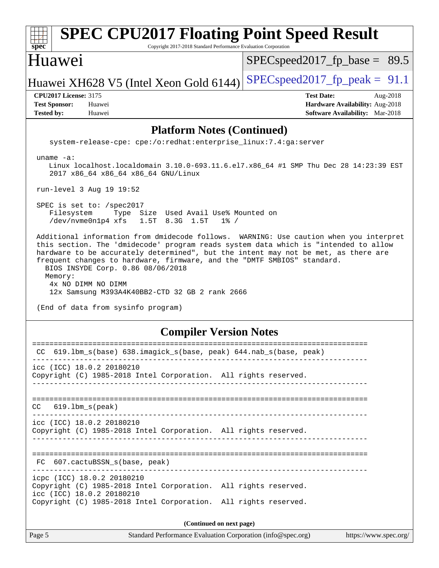| <b>SPEC CPU2017 Floating Point Speed Result</b><br>$spec^*$<br>Copyright 2017-2018 Standard Performance Evaluation Corporation                                                                                                                                                                                                                                                                                                                                                                               |                                                                                                     |
|--------------------------------------------------------------------------------------------------------------------------------------------------------------------------------------------------------------------------------------------------------------------------------------------------------------------------------------------------------------------------------------------------------------------------------------------------------------------------------------------------------------|-----------------------------------------------------------------------------------------------------|
| Huawei                                                                                                                                                                                                                                                                                                                                                                                                                                                                                                       | $SPEC speed2017_f p\_base = 89.5$                                                                   |
| Huawei XH628 V5 (Intel Xeon Gold 6144)                                                                                                                                                                                                                                                                                                                                                                                                                                                                       | $SPEC speed2017_fp\_peak = 91.1$                                                                    |
| <b>CPU2017 License: 3175</b><br><b>Test Sponsor:</b><br>Huawei<br><b>Tested by:</b><br>Huawei                                                                                                                                                                                                                                                                                                                                                                                                                | <b>Test Date:</b><br>Aug-2018<br>Hardware Availability: Aug-2018<br>Software Availability: Mar-2018 |
| <b>Platform Notes (Continued)</b>                                                                                                                                                                                                                                                                                                                                                                                                                                                                            |                                                                                                     |
| system-release-cpe: cpe:/o:redhat:enterprise_linux:7.4:ga:server                                                                                                                                                                                                                                                                                                                                                                                                                                             |                                                                                                     |
| uname $-a$ :<br>Linux localhost.localdomain 3.10.0-693.11.6.el7.x86_64 #1 SMP Thu Dec 28 14:23:39 EST<br>2017 x86_64 x86_64 x86_64 GNU/Linux                                                                                                                                                                                                                                                                                                                                                                 |                                                                                                     |
| run-level 3 Aug 19 19:52                                                                                                                                                                                                                                                                                                                                                                                                                                                                                     |                                                                                                     |
| SPEC is set to: /spec2017<br>Filesystem<br>Type Size Used Avail Use% Mounted on<br>/dev/nvme0n1p4 xfs<br>1.5T 8.3G 1.5T<br>$1\%$ /                                                                                                                                                                                                                                                                                                                                                                           |                                                                                                     |
| Additional information from dmidecode follows. WARNING: Use caution when you interpret<br>this section. The 'dmidecode' program reads system data which is "intended to allow<br>hardware to be accurately determined", but the intent may not be met, as there are<br>frequent changes to hardware, firmware, and the "DMTF SMBIOS" standard.<br>BIOS INSYDE Corp. 0.86 08/06/2018<br>Memory:<br>4x NO DIMM NO DIMM<br>12x Samsung M393A4K40BB2-CTD 32 GB 2 rank 2666<br>(End of data from sysinfo program) |                                                                                                     |
| <b>Compiler Version Notes</b>                                                                                                                                                                                                                                                                                                                                                                                                                                                                                |                                                                                                     |
| CC 619.1bm_s(base) 638.imagick_s(base, peak) 644.nab_s(base, peak)                                                                                                                                                                                                                                                                                                                                                                                                                                           |                                                                                                     |
| icc (ICC) 18.0.2 20180210<br>Copyright (C) 1985-2018 Intel Corporation. All rights reserved.                                                                                                                                                                                                                                                                                                                                                                                                                 |                                                                                                     |
| $619.1$ bm_s(peak)<br>CC.                                                                                                                                                                                                                                                                                                                                                                                                                                                                                    |                                                                                                     |
| icc (ICC) 18.0.2 20180210<br>Copyright (C) 1985-2018 Intel Corporation. All rights reserved.                                                                                                                                                                                                                                                                                                                                                                                                                 |                                                                                                     |
| FC 607.cactuBSSN_s(base, peak)                                                                                                                                                                                                                                                                                                                                                                                                                                                                               |                                                                                                     |
| icpc (ICC) 18.0.2 20180210<br>Copyright (C) 1985-2018 Intel Corporation. All rights reserved.<br>icc (ICC) 18.0.2 20180210<br>Copyright (C) 1985-2018 Intel Corporation. All rights reserved.                                                                                                                                                                                                                                                                                                                |                                                                                                     |
|                                                                                                                                                                                                                                                                                                                                                                                                                                                                                                              |                                                                                                     |
| (Continued on next page)<br>Page 5<br>Standard Performance Evaluation Corporation (info@spec.org)                                                                                                                                                                                                                                                                                                                                                                                                            | https://www.spec.org/                                                                               |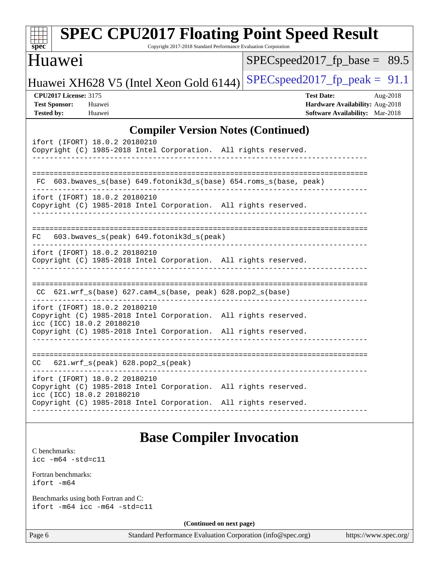| $spec^*$                                                                  |                                                                             | Copyright 2017-2018 Standard Performance Evaluation Corporation    | <b>SPEC CPU2017 Floating Point Speed Result</b>                                                            |  |
|---------------------------------------------------------------------------|-----------------------------------------------------------------------------|--------------------------------------------------------------------|------------------------------------------------------------------------------------------------------------|--|
| Huawei                                                                    |                                                                             |                                                                    | $SPEC speed2017_fp\_base =$<br>89.5                                                                        |  |
|                                                                           | Huawei XH628 V5 (Intel Xeon Gold 6144)                                      |                                                                    | $SPEC speed2017_fp_peak = 91.1$                                                                            |  |
| <b>CPU2017 License: 3175</b><br><b>Test Sponsor:</b><br><b>Tested by:</b> | Huawei<br>Huawei                                                            |                                                                    | <b>Test Date:</b><br>Aug-2018<br>Hardware Availability: Aug-2018<br><b>Software Availability:</b> Mar-2018 |  |
|                                                                           |                                                                             | <b>Compiler Version Notes (Continued)</b>                          |                                                                                                            |  |
|                                                                           | ifort (IFORT) 18.0.2 20180210                                               | Copyright (C) 1985-2018 Intel Corporation. All rights reserved.    |                                                                                                            |  |
|                                                                           |                                                                             | FC 603.bwaves_s(base) 649.fotonik3d_s(base) 654.roms_s(base, peak) |                                                                                                            |  |
|                                                                           | ifort (IFORT) 18.0.2 20180210                                               | Copyright (C) 1985-2018 Intel Corporation. All rights reserved.    |                                                                                                            |  |
| FC.                                                                       | 603.bwaves_s(peak) 649.fotonik3d_s(peak)                                    |                                                                    |                                                                                                            |  |
|                                                                           | ifort (IFORT) 18.0.2 20180210                                               | Copyright (C) 1985-2018 Intel Corporation. All rights reserved.    |                                                                                                            |  |
|                                                                           | $CC$ 621.wrf_s(base) 627.cam4_s(base, peak) 628.pop2_s(base)                |                                                                    |                                                                                                            |  |
|                                                                           | ifort (IFORT) 18.0.2 20180210<br>icc (ICC) 18.0.2 20180210                  | Copyright (C) 1985-2018 Intel Corporation. All rights reserved.    |                                                                                                            |  |
|                                                                           |                                                                             | Copyright (C) 1985-2018 Intel Corporation. All rights reserved.    |                                                                                                            |  |
| CC                                                                        | 621.wrf_s(peak) 628.pop2_s(peak)                                            |                                                                    |                                                                                                            |  |
|                                                                           | ifort (IFORT) 18.0.2 20180210<br>icc (ICC) 18.0.2 20180210                  | Copyright (C) 1985-2018 Intel Corporation. All rights reserved.    |                                                                                                            |  |
|                                                                           |                                                                             | Copyright (C) 1985-2018 Intel Corporation. All rights reserved.    |                                                                                                            |  |
|                                                                           |                                                                             | <b>Base Compiler Invocation</b>                                    |                                                                                                            |  |
| C benchmarks:<br>$\text{icc}$ -m64 -std=c11                               |                                                                             |                                                                    |                                                                                                            |  |
| Fortran benchmarks:<br>ifort -m64                                         |                                                                             |                                                                    |                                                                                                            |  |
|                                                                           | Benchmarks using both Fortran and C:<br>ifort $-m64$ icc $-m64$ $-std= c11$ |                                                                    |                                                                                                            |  |
|                                                                           |                                                                             | (Continued on next page)                                           |                                                                                                            |  |
| Page 6                                                                    |                                                                             | Standard Performance Evaluation Corporation (info@spec.org)        | https://www.spec.org/                                                                                      |  |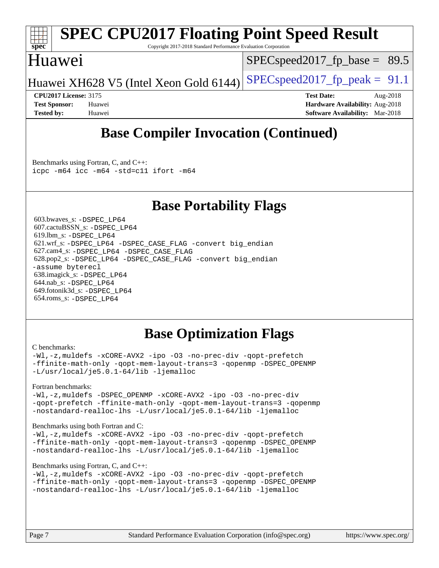

# **[SPEC CPU2017 Floating Point Speed Result](http://www.spec.org/auto/cpu2017/Docs/result-fields.html#SPECCPU2017FloatingPointSpeedResult)**

Copyright 2017-2018 Standard Performance Evaluation Corporation

### Huawei

 $SPECspeed2017_fp\_base = 89.5$ 

Huawei XH628 V5 (Intel Xeon Gold 6144) SPECspeed 2017 fp peak =  $91.1$ 

**[CPU2017 License:](http://www.spec.org/auto/cpu2017/Docs/result-fields.html#CPU2017License)** 3175 **[Test Date:](http://www.spec.org/auto/cpu2017/Docs/result-fields.html#TestDate)** Aug-2018 **[Test Sponsor:](http://www.spec.org/auto/cpu2017/Docs/result-fields.html#TestSponsor)** Huawei **[Hardware Availability:](http://www.spec.org/auto/cpu2017/Docs/result-fields.html#HardwareAvailability)** Aug-2018 **[Tested by:](http://www.spec.org/auto/cpu2017/Docs/result-fields.html#Testedby)** Huawei **[Software Availability:](http://www.spec.org/auto/cpu2017/Docs/result-fields.html#SoftwareAvailability)** Mar-2018

# **[Base Compiler Invocation \(Continued\)](http://www.spec.org/auto/cpu2017/Docs/result-fields.html#BaseCompilerInvocation)**

[Benchmarks using Fortran, C, and C++:](http://www.spec.org/auto/cpu2017/Docs/result-fields.html#BenchmarksusingFortranCandCXX) [icpc -m64](http://www.spec.org/cpu2017/results/res2018q4/cpu2017-20181025-09302.flags.html#user_CC_CXX_FCbase_intel_icpc_64bit_4ecb2543ae3f1412ef961e0650ca070fec7b7afdcd6ed48761b84423119d1bf6bdf5cad15b44d48e7256388bc77273b966e5eb805aefd121eb22e9299b2ec9d9) [icc -m64 -std=c11](http://www.spec.org/cpu2017/results/res2018q4/cpu2017-20181025-09302.flags.html#user_CC_CXX_FCbase_intel_icc_64bit_c11_33ee0cdaae7deeeab2a9725423ba97205ce30f63b9926c2519791662299b76a0318f32ddfffdc46587804de3178b4f9328c46fa7c2b0cd779d7a61945c91cd35) [ifort -m64](http://www.spec.org/cpu2017/results/res2018q4/cpu2017-20181025-09302.flags.html#user_CC_CXX_FCbase_intel_ifort_64bit_24f2bb282fbaeffd6157abe4f878425411749daecae9a33200eee2bee2fe76f3b89351d69a8130dd5949958ce389cf37ff59a95e7a40d588e8d3a57e0c3fd751)

## **[Base Portability Flags](http://www.spec.org/auto/cpu2017/Docs/result-fields.html#BasePortabilityFlags)**

 603.bwaves\_s: [-DSPEC\\_LP64](http://www.spec.org/cpu2017/results/res2018q4/cpu2017-20181025-09302.flags.html#suite_basePORTABILITY603_bwaves_s_DSPEC_LP64) 607.cactuBSSN\_s: [-DSPEC\\_LP64](http://www.spec.org/cpu2017/results/res2018q4/cpu2017-20181025-09302.flags.html#suite_basePORTABILITY607_cactuBSSN_s_DSPEC_LP64) 619.lbm\_s: [-DSPEC\\_LP64](http://www.spec.org/cpu2017/results/res2018q4/cpu2017-20181025-09302.flags.html#suite_basePORTABILITY619_lbm_s_DSPEC_LP64) 621.wrf\_s: [-DSPEC\\_LP64](http://www.spec.org/cpu2017/results/res2018q4/cpu2017-20181025-09302.flags.html#suite_basePORTABILITY621_wrf_s_DSPEC_LP64) [-DSPEC\\_CASE\\_FLAG](http://www.spec.org/cpu2017/results/res2018q4/cpu2017-20181025-09302.flags.html#b621.wrf_s_baseCPORTABILITY_DSPEC_CASE_FLAG) [-convert big\\_endian](http://www.spec.org/cpu2017/results/res2018q4/cpu2017-20181025-09302.flags.html#user_baseFPORTABILITY621_wrf_s_convert_big_endian_c3194028bc08c63ac5d04de18c48ce6d347e4e562e8892b8bdbdc0214820426deb8554edfa529a3fb25a586e65a3d812c835984020483e7e73212c4d31a38223) 627.cam4\_s: [-DSPEC\\_LP64](http://www.spec.org/cpu2017/results/res2018q4/cpu2017-20181025-09302.flags.html#suite_basePORTABILITY627_cam4_s_DSPEC_LP64) [-DSPEC\\_CASE\\_FLAG](http://www.spec.org/cpu2017/results/res2018q4/cpu2017-20181025-09302.flags.html#b627.cam4_s_baseCPORTABILITY_DSPEC_CASE_FLAG) 628.pop2\_s: [-DSPEC\\_LP64](http://www.spec.org/cpu2017/results/res2018q4/cpu2017-20181025-09302.flags.html#suite_basePORTABILITY628_pop2_s_DSPEC_LP64) [-DSPEC\\_CASE\\_FLAG](http://www.spec.org/cpu2017/results/res2018q4/cpu2017-20181025-09302.flags.html#b628.pop2_s_baseCPORTABILITY_DSPEC_CASE_FLAG) [-convert big\\_endian](http://www.spec.org/cpu2017/results/res2018q4/cpu2017-20181025-09302.flags.html#user_baseFPORTABILITY628_pop2_s_convert_big_endian_c3194028bc08c63ac5d04de18c48ce6d347e4e562e8892b8bdbdc0214820426deb8554edfa529a3fb25a586e65a3d812c835984020483e7e73212c4d31a38223) [-assume byterecl](http://www.spec.org/cpu2017/results/res2018q4/cpu2017-20181025-09302.flags.html#user_baseFPORTABILITY628_pop2_s_assume_byterecl_7e47d18b9513cf18525430bbf0f2177aa9bf368bc7a059c09b2c06a34b53bd3447c950d3f8d6c70e3faf3a05c8557d66a5798b567902e8849adc142926523472) 638.imagick\_s: [-DSPEC\\_LP64](http://www.spec.org/cpu2017/results/res2018q4/cpu2017-20181025-09302.flags.html#suite_basePORTABILITY638_imagick_s_DSPEC_LP64) 644.nab\_s: [-DSPEC\\_LP64](http://www.spec.org/cpu2017/results/res2018q4/cpu2017-20181025-09302.flags.html#suite_basePORTABILITY644_nab_s_DSPEC_LP64) 649.fotonik3d\_s: [-DSPEC\\_LP64](http://www.spec.org/cpu2017/results/res2018q4/cpu2017-20181025-09302.flags.html#suite_basePORTABILITY649_fotonik3d_s_DSPEC_LP64) 654.roms\_s: [-DSPEC\\_LP64](http://www.spec.org/cpu2017/results/res2018q4/cpu2017-20181025-09302.flags.html#suite_basePORTABILITY654_roms_s_DSPEC_LP64)

# **[Base Optimization Flags](http://www.spec.org/auto/cpu2017/Docs/result-fields.html#BaseOptimizationFlags)**

#### [C benchmarks](http://www.spec.org/auto/cpu2017/Docs/result-fields.html#Cbenchmarks):

[-Wl,-z,muldefs](http://www.spec.org/cpu2017/results/res2018q4/cpu2017-20181025-09302.flags.html#user_CCbase_link_force_multiple1_b4cbdb97b34bdee9ceefcfe54f4c8ea74255f0b02a4b23e853cdb0e18eb4525ac79b5a88067c842dd0ee6996c24547a27a4b99331201badda8798ef8a743f577) [-xCORE-AVX2](http://www.spec.org/cpu2017/results/res2018q4/cpu2017-20181025-09302.flags.html#user_CCbase_f-xCORE-AVX2) [-ipo](http://www.spec.org/cpu2017/results/res2018q4/cpu2017-20181025-09302.flags.html#user_CCbase_f-ipo) [-O3](http://www.spec.org/cpu2017/results/res2018q4/cpu2017-20181025-09302.flags.html#user_CCbase_f-O3) [-no-prec-div](http://www.spec.org/cpu2017/results/res2018q4/cpu2017-20181025-09302.flags.html#user_CCbase_f-no-prec-div) [-qopt-prefetch](http://www.spec.org/cpu2017/results/res2018q4/cpu2017-20181025-09302.flags.html#user_CCbase_f-qopt-prefetch) [-ffinite-math-only](http://www.spec.org/cpu2017/results/res2018q4/cpu2017-20181025-09302.flags.html#user_CCbase_f_finite_math_only_cb91587bd2077682c4b38af759c288ed7c732db004271a9512da14a4f8007909a5f1427ecbf1a0fb78ff2a814402c6114ac565ca162485bbcae155b5e4258871) [-qopt-mem-layout-trans=3](http://www.spec.org/cpu2017/results/res2018q4/cpu2017-20181025-09302.flags.html#user_CCbase_f-qopt-mem-layout-trans_de80db37974c74b1f0e20d883f0b675c88c3b01e9d123adea9b28688d64333345fb62bc4a798493513fdb68f60282f9a726aa07f478b2f7113531aecce732043) [-qopenmp](http://www.spec.org/cpu2017/results/res2018q4/cpu2017-20181025-09302.flags.html#user_CCbase_qopenmp_16be0c44f24f464004c6784a7acb94aca937f053568ce72f94b139a11c7c168634a55f6653758ddd83bcf7b8463e8028bb0b48b77bcddc6b78d5d95bb1df2967) [-DSPEC\\_OPENMP](http://www.spec.org/cpu2017/results/res2018q4/cpu2017-20181025-09302.flags.html#suite_CCbase_DSPEC_OPENMP) [-L/usr/local/je5.0.1-64/lib](http://www.spec.org/cpu2017/results/res2018q4/cpu2017-20181025-09302.flags.html#user_CCbase_jemalloc_link_path64_4b10a636b7bce113509b17f3bd0d6226c5fb2346b9178c2d0232c14f04ab830f976640479e5c33dc2bcbbdad86ecfb6634cbbd4418746f06f368b512fced5394) [-ljemalloc](http://www.spec.org/cpu2017/results/res2018q4/cpu2017-20181025-09302.flags.html#user_CCbase_jemalloc_link_lib_d1249b907c500fa1c0672f44f562e3d0f79738ae9e3c4a9c376d49f265a04b9c99b167ecedbf6711b3085be911c67ff61f150a17b3472be731631ba4d0471706)

#### [Fortran benchmarks](http://www.spec.org/auto/cpu2017/Docs/result-fields.html#Fortranbenchmarks):

[-Wl,-z,muldefs](http://www.spec.org/cpu2017/results/res2018q4/cpu2017-20181025-09302.flags.html#user_FCbase_link_force_multiple1_b4cbdb97b34bdee9ceefcfe54f4c8ea74255f0b02a4b23e853cdb0e18eb4525ac79b5a88067c842dd0ee6996c24547a27a4b99331201badda8798ef8a743f577) -DSPEC OPENMP [-xCORE-AVX2](http://www.spec.org/cpu2017/results/res2018q4/cpu2017-20181025-09302.flags.html#user_FCbase_f-xCORE-AVX2) [-ipo](http://www.spec.org/cpu2017/results/res2018q4/cpu2017-20181025-09302.flags.html#user_FCbase_f-ipo) [-O3](http://www.spec.org/cpu2017/results/res2018q4/cpu2017-20181025-09302.flags.html#user_FCbase_f-O3) [-no-prec-div](http://www.spec.org/cpu2017/results/res2018q4/cpu2017-20181025-09302.flags.html#user_FCbase_f-no-prec-div) [-qopt-prefetch](http://www.spec.org/cpu2017/results/res2018q4/cpu2017-20181025-09302.flags.html#user_FCbase_f-qopt-prefetch) [-ffinite-math-only](http://www.spec.org/cpu2017/results/res2018q4/cpu2017-20181025-09302.flags.html#user_FCbase_f_finite_math_only_cb91587bd2077682c4b38af759c288ed7c732db004271a9512da14a4f8007909a5f1427ecbf1a0fb78ff2a814402c6114ac565ca162485bbcae155b5e4258871) [-qopt-mem-layout-trans=3](http://www.spec.org/cpu2017/results/res2018q4/cpu2017-20181025-09302.flags.html#user_FCbase_f-qopt-mem-layout-trans_de80db37974c74b1f0e20d883f0b675c88c3b01e9d123adea9b28688d64333345fb62bc4a798493513fdb68f60282f9a726aa07f478b2f7113531aecce732043) [-qopenmp](http://www.spec.org/cpu2017/results/res2018q4/cpu2017-20181025-09302.flags.html#user_FCbase_qopenmp_16be0c44f24f464004c6784a7acb94aca937f053568ce72f94b139a11c7c168634a55f6653758ddd83bcf7b8463e8028bb0b48b77bcddc6b78d5d95bb1df2967) [-nostandard-realloc-lhs](http://www.spec.org/cpu2017/results/res2018q4/cpu2017-20181025-09302.flags.html#user_FCbase_f_2003_std_realloc_82b4557e90729c0f113870c07e44d33d6f5a304b4f63d4c15d2d0f1fab99f5daaed73bdb9275d9ae411527f28b936061aa8b9c8f2d63842963b95c9dd6426b8a) [-L/usr/local/je5.0.1-64/lib](http://www.spec.org/cpu2017/results/res2018q4/cpu2017-20181025-09302.flags.html#user_FCbase_jemalloc_link_path64_4b10a636b7bce113509b17f3bd0d6226c5fb2346b9178c2d0232c14f04ab830f976640479e5c33dc2bcbbdad86ecfb6634cbbd4418746f06f368b512fced5394) [-ljemalloc](http://www.spec.org/cpu2017/results/res2018q4/cpu2017-20181025-09302.flags.html#user_FCbase_jemalloc_link_lib_d1249b907c500fa1c0672f44f562e3d0f79738ae9e3c4a9c376d49f265a04b9c99b167ecedbf6711b3085be911c67ff61f150a17b3472be731631ba4d0471706)

#### [Benchmarks using both Fortran and C](http://www.spec.org/auto/cpu2017/Docs/result-fields.html#BenchmarksusingbothFortranandC):

[-Wl,-z,muldefs](http://www.spec.org/cpu2017/results/res2018q4/cpu2017-20181025-09302.flags.html#user_CC_FCbase_link_force_multiple1_b4cbdb97b34bdee9ceefcfe54f4c8ea74255f0b02a4b23e853cdb0e18eb4525ac79b5a88067c842dd0ee6996c24547a27a4b99331201badda8798ef8a743f577) [-xCORE-AVX2](http://www.spec.org/cpu2017/results/res2018q4/cpu2017-20181025-09302.flags.html#user_CC_FCbase_f-xCORE-AVX2) [-ipo](http://www.spec.org/cpu2017/results/res2018q4/cpu2017-20181025-09302.flags.html#user_CC_FCbase_f-ipo) [-O3](http://www.spec.org/cpu2017/results/res2018q4/cpu2017-20181025-09302.flags.html#user_CC_FCbase_f-O3) [-no-prec-div](http://www.spec.org/cpu2017/results/res2018q4/cpu2017-20181025-09302.flags.html#user_CC_FCbase_f-no-prec-div) [-qopt-prefetch](http://www.spec.org/cpu2017/results/res2018q4/cpu2017-20181025-09302.flags.html#user_CC_FCbase_f-qopt-prefetch) [-ffinite-math-only](http://www.spec.org/cpu2017/results/res2018q4/cpu2017-20181025-09302.flags.html#user_CC_FCbase_f_finite_math_only_cb91587bd2077682c4b38af759c288ed7c732db004271a9512da14a4f8007909a5f1427ecbf1a0fb78ff2a814402c6114ac565ca162485bbcae155b5e4258871) [-qopt-mem-layout-trans=3](http://www.spec.org/cpu2017/results/res2018q4/cpu2017-20181025-09302.flags.html#user_CC_FCbase_f-qopt-mem-layout-trans_de80db37974c74b1f0e20d883f0b675c88c3b01e9d123adea9b28688d64333345fb62bc4a798493513fdb68f60282f9a726aa07f478b2f7113531aecce732043) [-qopenmp](http://www.spec.org/cpu2017/results/res2018q4/cpu2017-20181025-09302.flags.html#user_CC_FCbase_qopenmp_16be0c44f24f464004c6784a7acb94aca937f053568ce72f94b139a11c7c168634a55f6653758ddd83bcf7b8463e8028bb0b48b77bcddc6b78d5d95bb1df2967) [-DSPEC\\_OPENMP](http://www.spec.org/cpu2017/results/res2018q4/cpu2017-20181025-09302.flags.html#suite_CC_FCbase_DSPEC_OPENMP) [-nostandard-realloc-lhs](http://www.spec.org/cpu2017/results/res2018q4/cpu2017-20181025-09302.flags.html#user_CC_FCbase_f_2003_std_realloc_82b4557e90729c0f113870c07e44d33d6f5a304b4f63d4c15d2d0f1fab99f5daaed73bdb9275d9ae411527f28b936061aa8b9c8f2d63842963b95c9dd6426b8a) [-L/usr/local/je5.0.1-64/lib](http://www.spec.org/cpu2017/results/res2018q4/cpu2017-20181025-09302.flags.html#user_CC_FCbase_jemalloc_link_path64_4b10a636b7bce113509b17f3bd0d6226c5fb2346b9178c2d0232c14f04ab830f976640479e5c33dc2bcbbdad86ecfb6634cbbd4418746f06f368b512fced5394) [-ljemalloc](http://www.spec.org/cpu2017/results/res2018q4/cpu2017-20181025-09302.flags.html#user_CC_FCbase_jemalloc_link_lib_d1249b907c500fa1c0672f44f562e3d0f79738ae9e3c4a9c376d49f265a04b9c99b167ecedbf6711b3085be911c67ff61f150a17b3472be731631ba4d0471706)

### [Benchmarks using Fortran, C, and C++:](http://www.spec.org/auto/cpu2017/Docs/result-fields.html#BenchmarksusingFortranCandCXX)

```
-Wl,-z,muldefs -xCORE-AVX2 -ipo -O3 -no-prec-div -qopt-prefetch
-ffinite-math-only -qopt-mem-layout-trans=3 -qopenmp -DSPEC_OPENMP
-nostandard-realloc-lhs -L/usr/local/je5.0.1-64/lib -ljemalloc
```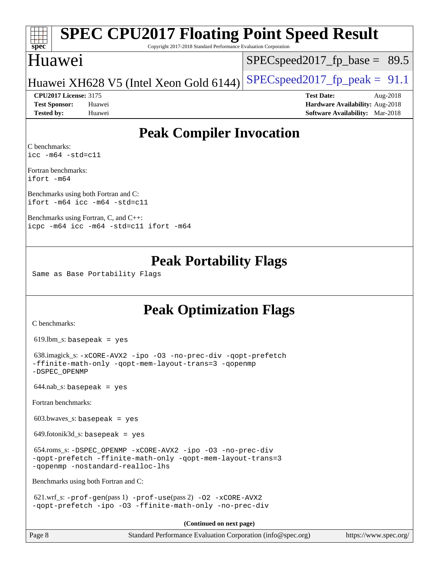#### **[spec](http://www.spec.org/) [SPEC CPU2017 Floating Point Speed Result](http://www.spec.org/auto/cpu2017/Docs/result-fields.html#SPECCPU2017FloatingPointSpeedResult)** Copyright 2017-2018 Standard Performance Evaluation Corporation Huawei  $SPECspeed2017_fp\_base = 89.5$

### Huawei XH628 V5 (Intel Xeon Gold 6144) SPECspeed 2017 fp peak =  $91.1$

**[Tested by:](http://www.spec.org/auto/cpu2017/Docs/result-fields.html#Testedby)** Huawei **[Software Availability:](http://www.spec.org/auto/cpu2017/Docs/result-fields.html#SoftwareAvailability)** Mar-2018

**[CPU2017 License:](http://www.spec.org/auto/cpu2017/Docs/result-fields.html#CPU2017License)** 3175 **[Test Date:](http://www.spec.org/auto/cpu2017/Docs/result-fields.html#TestDate)** Aug-2018 **[Test Sponsor:](http://www.spec.org/auto/cpu2017/Docs/result-fields.html#TestSponsor)** Huawei **[Hardware Availability:](http://www.spec.org/auto/cpu2017/Docs/result-fields.html#HardwareAvailability)** Aug-2018

# **[Peak Compiler Invocation](http://www.spec.org/auto/cpu2017/Docs/result-fields.html#PeakCompilerInvocation)**

[C benchmarks](http://www.spec.org/auto/cpu2017/Docs/result-fields.html#Cbenchmarks): [icc -m64 -std=c11](http://www.spec.org/cpu2017/results/res2018q4/cpu2017-20181025-09302.flags.html#user_CCpeak_intel_icc_64bit_c11_33ee0cdaae7deeeab2a9725423ba97205ce30f63b9926c2519791662299b76a0318f32ddfffdc46587804de3178b4f9328c46fa7c2b0cd779d7a61945c91cd35)

[Fortran benchmarks:](http://www.spec.org/auto/cpu2017/Docs/result-fields.html#Fortranbenchmarks) [ifort -m64](http://www.spec.org/cpu2017/results/res2018q4/cpu2017-20181025-09302.flags.html#user_FCpeak_intel_ifort_64bit_24f2bb282fbaeffd6157abe4f878425411749daecae9a33200eee2bee2fe76f3b89351d69a8130dd5949958ce389cf37ff59a95e7a40d588e8d3a57e0c3fd751)

[Benchmarks using both Fortran and C](http://www.spec.org/auto/cpu2017/Docs/result-fields.html#BenchmarksusingbothFortranandC): [ifort -m64](http://www.spec.org/cpu2017/results/res2018q4/cpu2017-20181025-09302.flags.html#user_CC_FCpeak_intel_ifort_64bit_24f2bb282fbaeffd6157abe4f878425411749daecae9a33200eee2bee2fe76f3b89351d69a8130dd5949958ce389cf37ff59a95e7a40d588e8d3a57e0c3fd751) [icc -m64 -std=c11](http://www.spec.org/cpu2017/results/res2018q4/cpu2017-20181025-09302.flags.html#user_CC_FCpeak_intel_icc_64bit_c11_33ee0cdaae7deeeab2a9725423ba97205ce30f63b9926c2519791662299b76a0318f32ddfffdc46587804de3178b4f9328c46fa7c2b0cd779d7a61945c91cd35)

[Benchmarks using Fortran, C, and C++](http://www.spec.org/auto/cpu2017/Docs/result-fields.html#BenchmarksusingFortranCandCXX): [icpc -m64](http://www.spec.org/cpu2017/results/res2018q4/cpu2017-20181025-09302.flags.html#user_CC_CXX_FCpeak_intel_icpc_64bit_4ecb2543ae3f1412ef961e0650ca070fec7b7afdcd6ed48761b84423119d1bf6bdf5cad15b44d48e7256388bc77273b966e5eb805aefd121eb22e9299b2ec9d9) [icc -m64 -std=c11](http://www.spec.org/cpu2017/results/res2018q4/cpu2017-20181025-09302.flags.html#user_CC_CXX_FCpeak_intel_icc_64bit_c11_33ee0cdaae7deeeab2a9725423ba97205ce30f63b9926c2519791662299b76a0318f32ddfffdc46587804de3178b4f9328c46fa7c2b0cd779d7a61945c91cd35) [ifort -m64](http://www.spec.org/cpu2017/results/res2018q4/cpu2017-20181025-09302.flags.html#user_CC_CXX_FCpeak_intel_ifort_64bit_24f2bb282fbaeffd6157abe4f878425411749daecae9a33200eee2bee2fe76f3b89351d69a8130dd5949958ce389cf37ff59a95e7a40d588e8d3a57e0c3fd751)

## **[Peak Portability Flags](http://www.spec.org/auto/cpu2017/Docs/result-fields.html#PeakPortabilityFlags)**

Same as Base Portability Flags

# **[Peak Optimization Flags](http://www.spec.org/auto/cpu2017/Docs/result-fields.html#PeakOptimizationFlags)**

[C benchmarks](http://www.spec.org/auto/cpu2017/Docs/result-fields.html#Cbenchmarks):

 $619.$ lbm\_s: basepeak = yes

```
 638.imagick_s: -xCORE-AVX2 -ipo -O3 -no-prec-div -qopt-prefetch
-ffinite-math-only -qopt-mem-layout-trans=3 -qopenmp
-DSPEC_OPENMP
```
 $644.nab$ <sub>S</sub>: basepeak = yes

[Fortran benchmarks](http://www.spec.org/auto/cpu2017/Docs/result-fields.html#Fortranbenchmarks):

 $603.bwaves$  s: basepeak = yes

 $649.$ fotonik $3d$ <sub>-</sub>s: basepeak = yes

```
 654.roms_s: -DSPEC_OPENMP -xCORE-AVX2 -ipo -O3 -no-prec-div
-qopt-prefetch -ffinite-math-only -qopt-mem-layout-trans=3
-qopenmp -nostandard-realloc-lhs
```
[Benchmarks using both Fortran and C](http://www.spec.org/auto/cpu2017/Docs/result-fields.html#BenchmarksusingbothFortranandC):

 621.wrf\_s: [-prof-gen](http://www.spec.org/cpu2017/results/res2018q4/cpu2017-20181025-09302.flags.html#user_peakPASS1_CFLAGSPASS1_FFLAGSPASS1_LDFLAGS621_wrf_s_prof_gen_5aa4926d6013ddb2a31985c654b3eb18169fc0c6952a63635c234f711e6e63dd76e94ad52365559451ec499a2cdb89e4dc58ba4c67ef54ca681ffbe1461d6b36)(pass 1) [-prof-use](http://www.spec.org/cpu2017/results/res2018q4/cpu2017-20181025-09302.flags.html#user_peakPASS2_CFLAGSPASS2_FFLAGSPASS2_LDFLAGS621_wrf_s_prof_use_1a21ceae95f36a2b53c25747139a6c16ca95bd9def2a207b4f0849963b97e94f5260e30a0c64f4bb623698870e679ca08317ef8150905d41bd88c6f78df73f19)(pass 2) [-O2](http://www.spec.org/cpu2017/results/res2018q4/cpu2017-20181025-09302.flags.html#user_peakPASS1_COPTIMIZEPASS1_FOPTIMIZE621_wrf_s_f-O2) [-xCORE-AVX2](http://www.spec.org/cpu2017/results/res2018q4/cpu2017-20181025-09302.flags.html#user_peakPASS2_COPTIMIZEPASS2_FOPTIMIZE621_wrf_s_f-xCORE-AVX2) [-qopt-prefetch](http://www.spec.org/cpu2017/results/res2018q4/cpu2017-20181025-09302.flags.html#user_peakPASS1_COPTIMIZEPASS1_FOPTIMIZEPASS2_COPTIMIZEPASS2_FOPTIMIZE621_wrf_s_f-qopt-prefetch) [-ipo](http://www.spec.org/cpu2017/results/res2018q4/cpu2017-20181025-09302.flags.html#user_peakPASS2_COPTIMIZEPASS2_FOPTIMIZE621_wrf_s_f-ipo) [-O3](http://www.spec.org/cpu2017/results/res2018q4/cpu2017-20181025-09302.flags.html#user_peakPASS2_COPTIMIZEPASS2_FOPTIMIZE621_wrf_s_f-O3) [-ffinite-math-only](http://www.spec.org/cpu2017/results/res2018q4/cpu2017-20181025-09302.flags.html#user_peakPASS1_COPTIMIZEPASS1_FOPTIMIZEPASS2_COPTIMIZEPASS2_FOPTIMIZE621_wrf_s_f_finite_math_only_cb91587bd2077682c4b38af759c288ed7c732db004271a9512da14a4f8007909a5f1427ecbf1a0fb78ff2a814402c6114ac565ca162485bbcae155b5e4258871) [-no-prec-div](http://www.spec.org/cpu2017/results/res2018q4/cpu2017-20181025-09302.flags.html#user_peakPASS2_COPTIMIZEPASS2_FOPTIMIZE621_wrf_s_f-no-prec-div)

**(Continued on next page)**